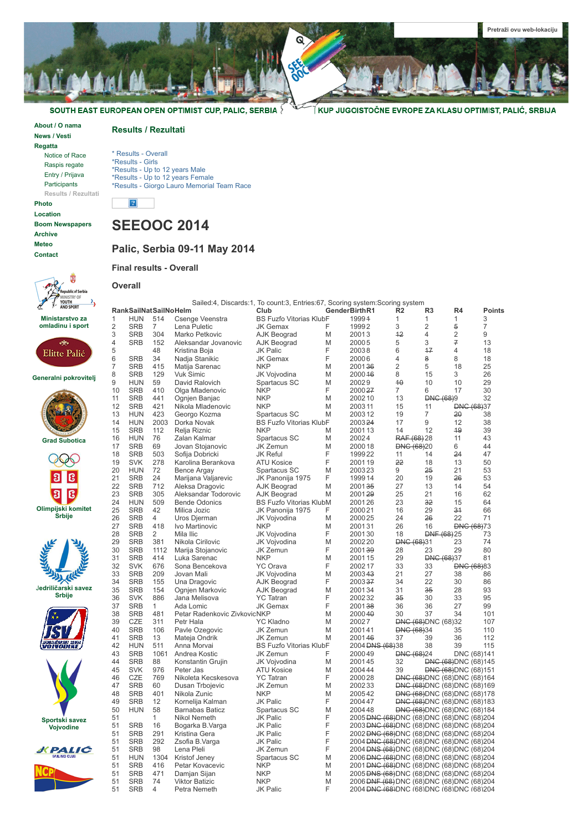

SOUTH EAST EUROPEAN OPEN OPTIMIST CUP, PALIC, SERBIA

**[About / O nama](https://sites.google.com/site/seeooc3/home) [News / Vesti](https://sites.google.com/site/seeooc3/news-vesti-1) [Regatta](https://sites.google.com/site/seeooc3/regatta)** [Notice of Race](https://sites.google.com/site/seeooc3/regatta/notice-of-race-1)

> [Raspis regate](https://sites.google.com/site/seeooc3/regatta/raspis-regate) [Entry / Prijava](https://sites.google.com/site/seeooc3/regatta/entry-form) [Participants](https://sites.google.com/site/seeooc3/regatta/participants) **Results / Rezultati**

**[Photo](https://sites.google.com/site/seeooc3/photo) [Location](https://sites.google.com/site/seeooc3/location) [Boom Newspapers](https://sites.google.com/site/seeooc3/boom) [Archive](https://sites.google.com/site/seeooc3/archive) [Meteo](https://sites.google.com/site/seeooc3/meteo) [Contact](https://sites.google.com/site/seeooc3/contact)**

**Results / Rezultati**

\* Results - Overall \*Results - Girls \*Results - Up to 12 years Male \*Results - Up to 12 years Female \*Results - Giorgo Lauro Memorial Team Race

## **SEEOOC 2014**

### **Palic, Serbia 09-11 May 2014**

### **Final results - Overall**

**Overall**





**Generalni pokrovitelj**

















|    | RankSailNatSailNoHelm |                |                              | Club                           |   | GenderBirthR1                                           | R <sub>2</sub>    | R3                          | R4                                    | Points         |
|----|-----------------------|----------------|------------------------------|--------------------------------|---|---------------------------------------------------------|-------------------|-----------------------------|---------------------------------------|----------------|
| 1  | <b>HUN</b>            | 514            | Csenge Veenstra              | <b>BS Fuzfo Vitorias KlubF</b> |   | 19994                                                   | 1                 | 1                           | 1                                     | 3              |
| 2  | <b>SRB</b>            | $\overline{7}$ | Lena Puletic                 | <b>JK Gemax</b>                | F | 19992                                                   | 3                 | $\overline{2}$              | 5                                     | $\overline{7}$ |
| 3  | <b>SRB</b>            | 304            | Marko Petkovic               | AJK Beograd                    | M | 20013                                                   | 12                | 4                           | $\overline{2}$                        | 9              |
| 4  | <b>SRB</b>            | 152            | Aleksandar Jovanovic         | <b>AJK Beograd</b>             | M | 20005                                                   | 5                 | 3                           | 7                                     | 13             |
| 5  |                       | 48             | Kristina Boja                | <b>JK Palic</b>                | F | 20038                                                   | 6                 | 17                          | 4                                     | 18             |
| 6  | <b>SRB</b>            | 34             | Nadja Stanikic               | <b>JK Gemax</b>                | F | 20006                                                   | 4                 | 8                           | 8                                     | 18             |
| 7  | <b>SRB</b>            | 415            | Matija Sarenac               | <b>NKP</b>                     | M | 200136                                                  | 2                 | 5                           | 18                                    | 25             |
| 8  | <b>SRB</b>            | 129            | <b>Vuk Simic</b>             | JK Vojvodina                   | M | 200046                                                  | 8                 | 15                          | 3                                     | 26             |
| 9  | <b>HUN</b>            | 59             | David Ralovich               | Spartacus SC                   | M | 20029                                                   | 40                | 10                          | 10                                    | 29             |
| 10 | <b>SRB</b>            | 410            | Olga Mladenovic              | <b>NKP</b>                     | F | 200027                                                  | $\overline{7}$    | 6                           | 17                                    | 30             |
| 11 | <b>SRB</b>            | 441            | Ognjen Banjac                | <b>NKP</b>                     | M | 200210                                                  | 13                | <b>DNG (68)9</b>            |                                       | 32             |
| 12 | <b>SRB</b>            | 421            | Nikola Mladenovic            | <b>NKP</b>                     | M | 2003 11                                                 | 15                | 11                          | <b>DNG (68)37</b>                     |                |
| 13 | <b>HUN</b>            | 423            | Georgo Kozma                 | Spartacus SC                   | M | 200312                                                  | 19                | 7                           | 20                                    | 38             |
| 14 | <b>HUN</b>            | 2003           | Dorka Novak                  | <b>BS Fuzfo Vitorias KlubF</b> |   | 200324                                                  | 17                | 9                           | 12                                    | 38             |
| 15 | <b>SRB</b>            | 112            | Relja Riznic                 | <b>NKP</b>                     | M | 200113                                                  | 14                | 12                          | 49                                    | 39             |
| 16 | <b>HUN</b>            | 76             | Zalan Kalmar                 | Spartacus SC                   | M | 20024                                                   | RAF (68) 28       |                             | 11                                    | 43             |
| 17 | <b>SRB</b>            | 69             | Jovan Stojanovic             | JK Zemun                       | M | 2000 18                                                 | <b>DNG (68)20</b> |                             | 6                                     | 44             |
|    | <b>SRB</b>            | 503            |                              | <b>JK Reful</b>                | F |                                                         | 11                | 14                          | 24                                    | 47             |
| 18 | <b>SVK</b>            | 278            | Sofija Dobricki              |                                | F | 1999 22                                                 | 22                | 18                          |                                       |                |
| 19 |                       |                | Karolina Berankova           | <b>ATU Kosice</b>              |   | 200119                                                  |                   |                             | 13                                    | 50             |
| 20 | <b>HUN</b>            | 72             | <b>Bence Argay</b>           | Spartacus SC                   | M | 200323                                                  | 9                 | 25                          | 21                                    | 53             |
| 21 | <b>SRB</b>            | 24             | Marijana Valjarevic          | JK Panonija 1975               | F | 1999 14                                                 | 20                | 19                          | 26                                    | 53             |
| 22 | <b>SRB</b>            | 712            | Aleksa Dragovic              | <b>AJK Beograd</b>             | M | 200135                                                  | 27                | 13                          | 14                                    | 54             |
| 23 | <b>SRB</b>            | 305            | Aleksandar Todorovic         | <b>AJK Beograd</b>             | M | 200129                                                  | 25                | 21                          | 16                                    | 62             |
| 24 | <b>HUN</b>            | 509            | <b>Bende Odonics</b>         | <b>BS Fuzfo Vitorias KlubM</b> |   | 200126                                                  | 23                | 32                          | 15                                    | 64             |
| 25 | <b>SRB</b>            | 42             | Milica Jozic                 | JK Panonija 1975               | F | 200021                                                  | 16                | 29                          | 34                                    | 66             |
| 26 | <b>SRB</b>            | $\overline{4}$ | Uros Djerman                 | JK Vojvodina                   | M | 2000 25                                                 | 24                | 26                          | 22                                    | 71             |
| 27 | <b>SRB</b>            | 418            | Ivo Martinovic               | <b>NKP</b>                     | M | 200131                                                  | 26                | 16                          | <b>DNG (68)73</b>                     |                |
| 28 | <b>SRB</b>            | $\overline{2}$ | Mila Ilic                    | JK Vojvodina                   | F | 200130                                                  | 18                | DNF (68) 25                 |                                       | 73             |
| 29 | <b>SRB</b>            | 381            | Nikola Cirilovic             | JK Vojvodina                   | M | 2002 20                                                 | <b>DNG (68)31</b> |                             | 23                                    | 74             |
| 30 | <b>SRB</b>            | 1112           | Marija Stojanovic            | <b>JK Zemun</b>                | F | 200139                                                  | 28                | 23                          | 29                                    | 80             |
| 31 | <b>SRB</b>            | 414            | Luka Sarenac                 | <b>NKP</b>                     | M | 200115                                                  | 29                | <b>DNG (68)37</b>           |                                       | 81             |
| 32 | <b>SVK</b>            | 676            | Sona Bencekova               | <b>YC Orava</b>                | F | 2002 17                                                 | 33                | 33                          | <b>DNG (68)83</b>                     |                |
| 33 | <b>SRB</b>            | 209            | Jovan Mali                   | JK Vojvodina                   | M | 200343                                                  | 21                | 27                          | 38                                    | 86             |
| 34 | <b>SRB</b>            | 155            | Una Dragovic                 | AJK Beograd                    | F | 200337                                                  | 34                | 22                          | 30                                    | 86             |
| 35 | <b>SRB</b>            | 154            | Ognjen Markovic              | <b>AJK Beograd</b>             | M | 200134                                                  | 31                | 35                          | 28                                    | 93             |
| 36 | <b>SVK</b>            | 886            | Jana Melisova                | <b>YC</b> Tatran               | F | 200232                                                  | 35                | 30                          | 33                                    | 95             |
| 37 | <b>SRB</b>            | 1              | Ada Lomic                    | <b>JK Gemax</b>                | F | 200138                                                  | 36                | 36                          | 27                                    | 99             |
| 38 | <b>SRB</b>            | 481            | Petar Radenkovic ZivkovicNKP |                                | M | 200040                                                  | 30                | 37                          | 34                                    | 101            |
| 39 | <b>CZE</b>            | 311            | Petr Hala                    | <b>YC Kladno</b>               | M | 20027                                                   |                   | <b>DNC (68) DNC (68) 32</b> |                                       | 107            |
| 40 | <b>SRB</b>            | 106            | Pavle Ozegovic               | JK Zemun                       | M | 200141                                                  | <b>DNG (68)34</b> |                             | 35                                    | 110            |
| 41 | <b>SRB</b>            | 13             | Mateja Ondrik                | JK Zemun                       | M | 200146                                                  | 37                | 39                          | 36                                    | 112            |
| 42 | <b>HUN</b>            | 511            | Anna Morvai                  | <b>BS Fuzfo Vitorias KlubF</b> |   | 2004 <del>DNS (68)</del> 38                             |                   | 38                          | 39                                    | 115            |
| 43 | <b>SRB</b>            | 1061           | Andrea Kostic                | <b>JK Zemun</b>                | F | 200049                                                  | <b>DNG (68)24</b> |                             | DNC (68)141                           |                |
| 44 | <b>SRB</b>            | 88             | Konstantin Grujin            | JK Vojvodina                   | M | 200145                                                  | 32                |                             | <b>DNG (68) DNC (68) 145</b>          |                |
| 45 | <b>SVK</b>            | 976            | Peter Jas                    | <b>ATU Kosice</b>              | M | 2004 44                                                 | 39                |                             | <b>DNC (68) DNC (68) 151</b>          |                |
| 46 | <b>CZE</b>            | 769            | Nikoleta Kecskesova          | <b>YC</b> Tatran               | F | 200028                                                  |                   |                             | <b>DNG (68) DNC (68) DNC (68) 164</b> |                |
| 47 | <b>SRB</b>            | 60             | Dusan Trbojevic              | JK Zemun                       | M | 200233                                                  |                   |                             | <b>DNG (68) DNC (68) DNC (68) 169</b> |                |
| 48 | <b>SRB</b>            | 401            | Nikola Zunic                 | <b>NKP</b>                     | M | 200542                                                  |                   |                             | <b>DNG (68) DNC (68) DNC (68) 178</b> |                |
| 49 | <b>SRB</b>            | 12             | Kornelija Kalman             | <b>JK Palic</b>                | F | 2004 47                                                 |                   |                             | <b>DNG (68) DNC (68) DNC (68) 183</b> |                |
|    |                       | 58             |                              |                                | M |                                                         |                   |                             |                                       |                |
| 50 | <b>HUN</b>            | 1              | <b>Barnabas Baticz</b>       | Spartacus SC                   | F | 200448                                                  |                   |                             | <b>DNG (68) DNC (68) DNC (68) 184</b> |                |
| 51 |                       | 16             | Nikol Nemeth                 | JK Palic                       | F | 2005 DNG (68) DNC (68) DNC (68) DNC (68) 204            |                   |                             |                                       |                |
| 51 | <b>SRB</b>            |                | Bogarka B.Varga              | JK Palic                       | F | 2003 <del>DNC (68)</del> DNC (68) DNC (68) DNC (68) 204 |                   |                             |                                       |                |
| 51 | <b>SRB</b>            | 291            | Kristina Gera                | <b>JK Palic</b>                |   | 2002 <del>DNC (68)</del> DNC (68) DNC (68) DNC (68) 204 |                   |                             |                                       |                |
| 51 | <b>SRB</b>            | 292            | Zsofia B.Varga               | <b>JK Palic</b>                | F | 2004 <del>DNC (68)</del> DNC (68) DNC (68) DNC (68) 204 |                   |                             |                                       |                |
| 51 | <b>SRB</b>            | 98             | Lena Pleli                   | JK Zemun                       | F | 2004 <del>DNS (68)</del> DNC (68) DNC (68) DNC (68) 204 |                   |                             |                                       |                |
| 51 | <b>HUN</b>            | 1304           | Kristof Jeney                | Spartacus SC                   | M | 2006 <del>DNC (68)</del> DNC (68) DNC (68) DNC (68) 204 |                   |                             |                                       |                |
| 51 | <b>SRB</b>            | 416            | Petar Kovacevic              | NKP                            | M | 2001 <del>DNC (68)</del> DNC (68) DNC (68) DNC (68) 204 |                   |                             |                                       |                |
| 51 | <b>SRB</b>            | 471            | Damjan Sijan                 | <b>NKP</b>                     | M | 2005 <del>DNS (68)</del> DNC (68) DNC (68) DNC (68) 204 |                   |                             |                                       |                |
| 51 | <b>SRB</b>            | 74             | <b>Viktor Batizic</b>        | <b>NKP</b>                     | M | 2006 <del>DNF (68)</del> DNC (68) DNC (68) DNC (68) 204 |                   |                             |                                       |                |
| 51 | <b>SRB</b>            | 4              | Petra Nemeth                 | JK Palic                       | F | 2004 DNG (68)DNC (68)DNC (68)DNC (68)204                |                   |                             |                                       |                |

Sailed:4, Discards:1, To count:3, Entries:67, Scoring system:Scoring system

∫KUP JUGOISTOČNE EVROPE ZA KLASU OPTIMIST, PALIĆ, SRBIJA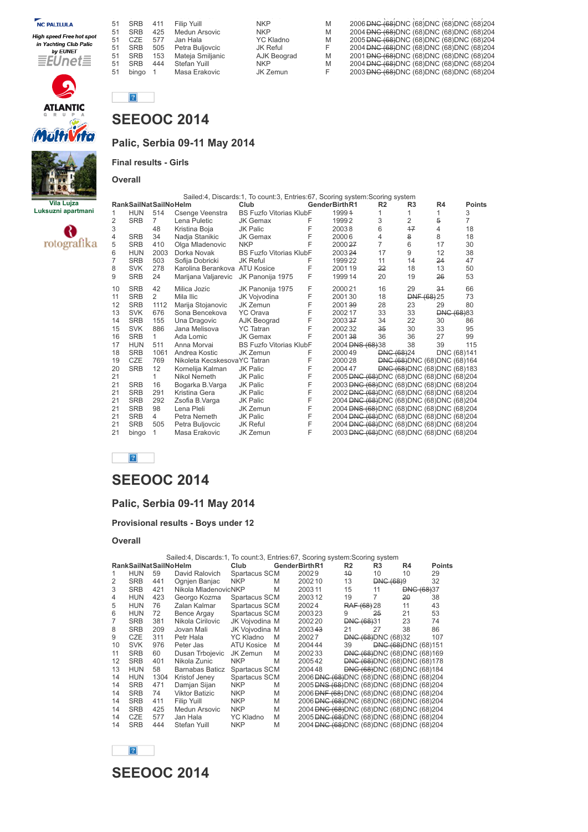| <b>NC PALILULA</b>       | 51 | <b>SRB</b>       | 411 | Filip Yuill      | <b>NKP</b>       | M | 2006 BNG (68) DNC (68) DNC (68) DNC (68) 204 |
|--------------------------|----|------------------|-----|------------------|------------------|---|----------------------------------------------|
| High speed Free hot spot | 51 | <b>SRB</b>       | 425 | Medun Arsovic    | <b>NKP</b>       | M | 2004 BNG (68)DNC (68)DNC (68)DNC (68)204     |
| in Yachting Club Palic   | 51 | C <sub>7</sub> F | 577 | Jan Hala         | <b>YC Kladno</b> | M | 2005 BNG (68) DNC (68) DNC (68) DNC (68) 204 |
| by EUNET                 | 51 | <b>SRB</b>       | 505 | Petra Buljovcic  | JK Reful         |   | 2004 BNG (68)DNC (68)DNC (68)DNC (68)204     |
| 言EUnet量                  | 51 | <b>SRB</b>       | 153 | Mateia Smilianic | AJK Beograd      | M | 2001 BNG (68) DNC (68) DNC (68) DNC (68) 204 |
|                          |    | <b>SRB</b>       | 444 | Stefan Yuill     | <b>NKP</b>       | M | 2004 BNG (68)DNC (68)DNC (68)DNC (68)204     |
|                          |    | bingo            |     | Masa Erakovic    | JK Zemun         |   | 2003 DNG (68) DNC (68) DNC (68) DNC (68) 204 |





## **Palic, Serbia 09-11 May 2014**

**Final results - Girls**

**Overall**



| <b>The Lineses</b> |    |                              |                |                               | Sailed:4, Discards:1, To count:3, Entries:67, Scoring system:Scoring system |   |                                                         |                |                   |                                       |             |
|--------------------|----|------------------------------|----------------|-------------------------------|-----------------------------------------------------------------------------|---|---------------------------------------------------------|----------------|-------------------|---------------------------------------|-------------|
| <b>Vila Lujza</b>  |    | <b>RankSailNatSailNoHelm</b> |                |                               | Club                                                                        |   | GenderBirthR1                                           | R <sub>2</sub> | R <sub>3</sub>    | R <sub>4</sub>                        | Points      |
| ksuzni apartmani   | 1  | <b>HUN</b>                   | 514            | Csenge Veenstra               | <b>BS Fuzfo Vitorias KlubF</b>                                              |   | 19994                                                   |                |                   |                                       | 3           |
|                    | 2  | <b>SRB</b>                   | $\overline{7}$ | Lena Puletic                  | <b>JK Gemax</b>                                                             | F | 19992                                                   | 3              | 2                 | 5                                     |             |
|                    | 3  |                              | 48             | Kristina Boja                 | JK Palic                                                                    |   | 20038                                                   | 6              | 17                | 4                                     | 18          |
|                    | 4  | <b>SRB</b>                   | 34             | Nadja Stanikic                | <b>JK Gemax</b>                                                             |   | 20006                                                   | 4              | 8                 | 8                                     | 18          |
| rotografika        | 5  | <b>SRB</b>                   | 410            | Olga Mladenovic               | <b>NKP</b>                                                                  |   | 200027                                                  | 7              | 6                 | 17                                    | 30          |
|                    | 6  | <b>HUN</b>                   | 2003           | Dorka Novak                   | <b>BS Fuzfo Vitorias KlubF</b>                                              |   | 200324                                                  | 17             | 9                 | 12                                    | 38          |
|                    |    | <b>SRB</b>                   | 503            | Sofija Dobricki               | JK Reful                                                                    |   | 199922                                                  | 11             | 14                | 24                                    | 47          |
|                    | 8  | <b>SVK</b>                   | 278            | Karolina Berankova ATU Kosice |                                                                             | F | 200119                                                  | 22             | 18                | 13                                    | 50          |
|                    | 9  | <b>SRB</b>                   | 24             | Marijana Valjarevic           | JK Panonija 1975                                                            | F | 199914                                                  | 20             | 19                | 26                                    | 53          |
|                    | 10 | <b>SRB</b>                   | 42             | Milica Jozic                  | JK Panonija 1975                                                            | F | 200021                                                  | 16             | 29                | 34                                    | 66          |
|                    | 11 | <b>SRB</b>                   | $\overline{2}$ | Mila Ilic                     | JK Vojvodina                                                                |   | 200130                                                  | 18             |                   | DNF (68) 25                           | 73          |
|                    | 12 | <b>SRB</b>                   | 1112           | Marija Stojanovic             | JK Zemun                                                                    |   | 200139                                                  | 28             | 23                | 29                                    | 80          |
|                    | 13 | <b>SVK</b>                   | 676            | Sona Bencekova                | <b>YC Orava</b>                                                             |   | 200217                                                  | 33             | 33                | <b>DNG (68)83</b>                     |             |
|                    | 14 | <b>SRB</b>                   | 155            | Una Dragovic                  | AJK Beograd                                                                 |   | 200337                                                  | 34             | 22                | 30                                    | 86          |
|                    | 15 | <b>SVK</b>                   | 886            | Jana Melisova                 | <b>YC</b> Tatran                                                            |   | 200232                                                  | 35             | 30                | 33                                    | 95          |
|                    | 16 | <b>SRB</b>                   | $\mathbf{1}$   | Ada Lomic                     | <b>JK Gemax</b>                                                             |   | 200138                                                  | 36             | 36                | 27                                    | 99          |
|                    | 17 | <b>HUN</b>                   | 511            | Anna Morvai                   | <b>BS Fuzfo Vitorias KlubF</b>                                              |   | 2004 <del>DNS (68)</del> 38                             |                | 38                | 39                                    | 115         |
|                    | 18 | <b>SRB</b>                   | 1061           | Andrea Kostic                 | JK Zemun                                                                    |   | 200049                                                  |                | <b>DNG (68)24</b> |                                       | DNC (68)141 |
|                    | 19 | CZE                          | 769            | Nikoleta KecskesovaYC Tatran  |                                                                             |   | 200028                                                  |                |                   | <b>DNG (68) DNC (68) DNC (68) 164</b> |             |
|                    | 20 | <b>SRB</b>                   | 12             | Kornelija Kalman              | <b>JK Palic</b>                                                             | F | 2004 47                                                 |                |                   | <b>DNG (68) DNC (68) DNC (68) 183</b> |             |
|                    | 21 |                              | 1.             | Nikol Nemeth                  | <b>JK Palic</b>                                                             | F | 2005 DNG (68) DNC (68) DNC (68) DNC (68) 204            |                |                   |                                       |             |
|                    | 21 | <b>SRB</b>                   | 16             | Bogarka B.Varga               | JK Palic                                                                    | F | 2003 <del>DNC (68)</del> DNC (68) DNC (68) DNC (68) 204 |                |                   |                                       |             |
|                    | 21 | <b>SRB</b>                   | 291            | Kristina Gera                 | <b>JK Palic</b>                                                             | F | 2002 DNG (68) DNC (68) DNC (68) DNC (68) 204            |                |                   |                                       |             |
|                    | 21 | <b>SRB</b>                   | 292            | Zsofia B.Varga                | JK Palic                                                                    |   | 2004 <del>DNC (68)</del> DNC (68) DNC (68) DNC (68) 204 |                |                   |                                       |             |
|                    | 21 | <b>SRB</b>                   | 98             | Lena Pleli                    | JK Zemun                                                                    |   | 2004 <del>DNS (68)</del> DNC (68) DNC (68) DNC (68) 204 |                |                   |                                       |             |
|                    | 21 | <b>SRB</b>                   | $\overline{4}$ | Petra Nemeth                  | JK Palic                                                                    |   | 2004 DNG (68)DNC (68)DNC (68)DNC (68)204                |                |                   |                                       |             |
|                    | 21 | <b>SRB</b>                   | 505            | Petra Buljovcic               | <b>JK Reful</b>                                                             | F | 2004 <del>DNC (68)</del> DNC (68) DNC (68) DNC (68) 204 |                |                   |                                       |             |
|                    | 21 | bingo                        | 1              | Masa Erakovic                 | JK Zemun                                                                    | F | 2003 DNG (68)DNC (68)DNC (68)DNC (68)204                |                |                   |                                       |             |

 $\boxed{?}$ 

# **SEEOOC 2014**

## **Palic, Serbia 09-11 May 2014**

**Provisional results - Boys under 12**

#### **Overall**

| Sailed:4, Discards:1, To count:3, Entries:67, Scoring system: Scoring system |                              |      |                       |                   |   |                                                         |                   |                             |                                       |                   |
|------------------------------------------------------------------------------|------------------------------|------|-----------------------|-------------------|---|---------------------------------------------------------|-------------------|-----------------------------|---------------------------------------|-------------------|
|                                                                              | <b>RankSailNatSailNoHelm</b> |      |                       | Club              |   | GenderBirthR1                                           | R <sub>2</sub>    | R3                          | R4                                    | <b>Points</b>     |
|                                                                              | <b>HUN</b>                   | 59   | David Ralovich        | Spartacus SCM     |   | 20029                                                   | $40^{\circ}$      | 10                          | 10                                    | 29                |
| 2                                                                            | <b>SRB</b>                   | 441  | Ognjen Banjac         | <b>NKP</b>        | M | 200210                                                  | 13                | <b>DNC (68)9</b>            |                                       | 32                |
| 3                                                                            | <b>SRB</b>                   | 421  | Nikola MladenovicNKP  |                   | M | 200311                                                  | 15                | 11                          |                                       | <b>DNG (68)37</b> |
| 4                                                                            | <b>HUN</b>                   | 423  | Georgo Kozma          | Spartacus SCM     |   | 200312                                                  | 19                | 7                           | $20 -$                                | 38                |
| 5                                                                            | <b>HUN</b>                   | 76   | Zalan Kalmar          | Spartacus SCM     |   | 20024                                                   |                   | RAF (68) 28                 | 11                                    | 43                |
| 6                                                                            | <b>HUN</b>                   | 72   | Bence Argay           | Spartacus SCM     |   | 200323                                                  | 9                 | 25                          | 21                                    | 53                |
| 7                                                                            | <b>SRB</b>                   | 381  | Nikola Cirilovic      | JK Voivodina M    |   | 200220                                                  | <b>DNG (68)31</b> |                             | 23                                    | 74                |
| 8                                                                            | <b>SRB</b>                   | 209  | Jovan Mali            | JK Voivodina M    |   | 200343                                                  | 21                | 27                          | 38                                    | 86                |
| 9                                                                            | CZE                          | 311  | Petr Hala             | <b>YC Kladno</b>  | M | 20027                                                   |                   | <b>DNG (68) DNC (68) 32</b> |                                       | 107               |
| 10                                                                           | <b>SVK</b>                   | 976  | Peter Jas             | <b>ATU Kosice</b> | M | 2004 44                                                 | 39                |                             | <b>DNG (68) DNC (68) 151</b>          |                   |
| 11                                                                           | <b>SRB</b>                   | 60   | Dusan Trbojevic       | JK Zemun          | M | 200233                                                  |                   |                             | <b>DNG (68) DNC (68) DNC (68) 169</b> |                   |
| 12                                                                           | <b>SRB</b>                   | 401  | Nikola Zunic          | <b>NKP</b>        | M | 200542                                                  |                   |                             | <b>DNG (68) DNC (68) DNC (68) 178</b> |                   |
| 13                                                                           | <b>HUN</b>                   | 58   | Barnabas Baticz       | Spartacus SCM     |   | 200448                                                  |                   |                             | <b>DNC (68) DNC (68) DNC (68) 184</b> |                   |
| 14                                                                           | <b>HUN</b>                   | 1304 | Kristof Jenev         | Spartacus SCM     |   | 2006 <del>DNC (68)</del> DNC (68) DNC (68) DNC (68) 204 |                   |                             |                                       |                   |
| 14                                                                           | <b>SRB</b>                   | 471  | Damjan Sijan          | <b>NKP</b>        | M | 2005 DNS (68) DNC (68) DNC (68) DNC (68) 204            |                   |                             |                                       |                   |
| 14                                                                           | <b>SRB</b>                   | 74   | <b>Viktor Batizic</b> | <b>NKP</b>        | M | 2006 <del>DNF (68)</del> DNC (68) DNC (68) DNC (68) 204 |                   |                             |                                       |                   |
| 14                                                                           | <b>SRB</b>                   | 411  | Filip Yuill           | <b>NKP</b>        | M | 2006 <del>DNC (68)</del> DNC (68) DNC (68) DNC (68) 204 |                   |                             |                                       |                   |
| 14                                                                           | <b>SRB</b>                   | 425  | Medun Arsovic         | <b>NKP</b>        | M | 2004 <del>DNC (68)</del> DNC (68) DNC (68) DNC (68) 204 |                   |                             |                                       |                   |
| 14                                                                           | CZE                          | 577  | Jan Hala              | <b>YC Kladno</b>  | M | 2005 <del>DNC (68)</del> DNC (68) DNC (68) DNC (68) 204 |                   |                             |                                       |                   |
| 14                                                                           | <b>SRB</b>                   | 444  | Stefan Yuill          | <b>NKP</b>        | M | 2004 <del>DNC (68)</del> DNC (68) DNC (68) DNC (68) 204 |                   |                             |                                       |                   |

**SEEOOC 2014**

 $\sqrt{2}$